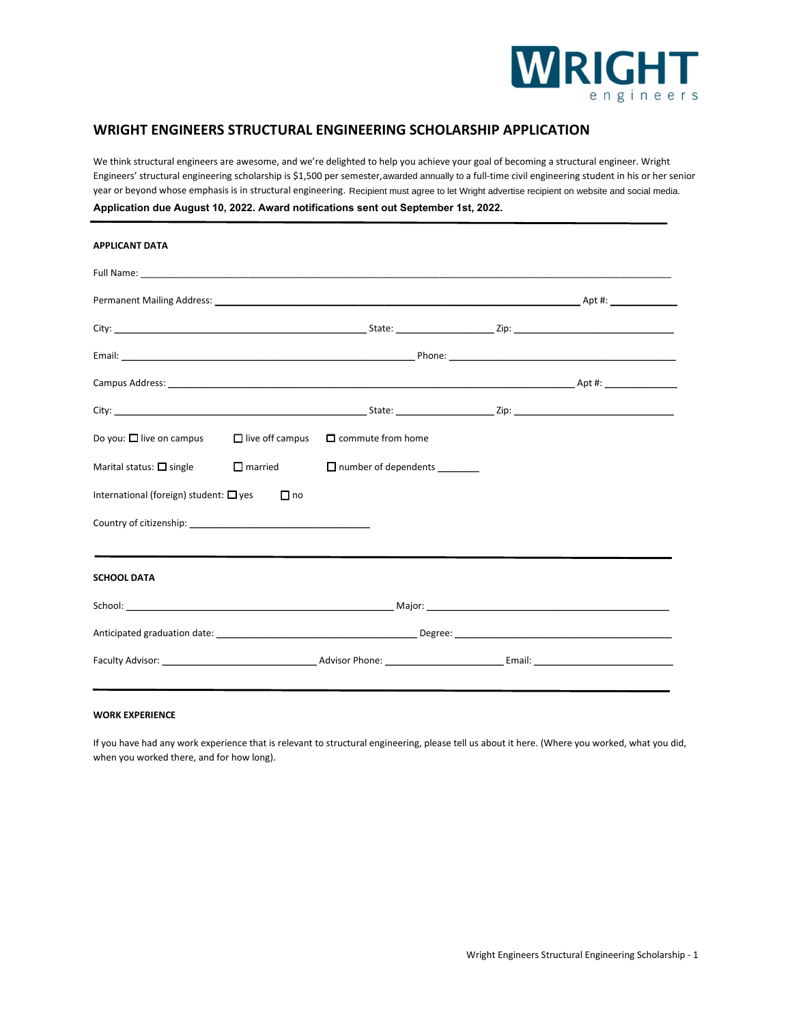

# **WRIGHT ENGINEERS STRUCTURAL ENGINEERING SCHOLARSHIP APPLICATION**

We think structural engineers are awesome, and we're delighted to help you achieve your goal of becoming a structural engineer. Wright Engineers' structural engineering scholarship is \$1,500 per semester, awarded annually to a full-time civil engineering student in his or her senior year or beyond whose emphasis is in structural engineering. Recipient must agree to let Wright advertise recipient on website and social media.

| Application due August 10, 2022. Award notifications sent out September 1st, 2022. |  |
|------------------------------------------------------------------------------------|--|
|------------------------------------------------------------------------------------|--|

| <b>APPLICANT DATA</b>                                                                  |                                                                                                                                                                                                                               |                             |  |  |  |
|----------------------------------------------------------------------------------------|-------------------------------------------------------------------------------------------------------------------------------------------------------------------------------------------------------------------------------|-----------------------------|--|--|--|
|                                                                                        |                                                                                                                                                                                                                               |                             |  |  |  |
|                                                                                        |                                                                                                                                                                                                                               |                             |  |  |  |
|                                                                                        |                                                                                                                                                                                                                               |                             |  |  |  |
|                                                                                        |                                                                                                                                                                                                                               |                             |  |  |  |
|                                                                                        |                                                                                                                                                                                                                               |                             |  |  |  |
|                                                                                        |                                                                                                                                                                                                                               |                             |  |  |  |
| Do you: $\square$ live on campus $\square$ live off campus $\square$ commute from home |                                                                                                                                                                                                                               |                             |  |  |  |
| Marital status: $\Box$ single $\Box$ married                                           |                                                                                                                                                                                                                               | $\Box$ number of dependents |  |  |  |
| International (foreign) student: $\Box$ yes                                            | $\Box$ no                                                                                                                                                                                                                     |                             |  |  |  |
| Country of citizenship: example of the country of citizenship:                         |                                                                                                                                                                                                                               |                             |  |  |  |
|                                                                                        | the control of the control of the control of the control of the control of the control of the control of the control of the control of the control of the control of the control of the control of the control of the control |                             |  |  |  |
| <b>SCHOOL DATA</b>                                                                     |                                                                                                                                                                                                                               |                             |  |  |  |
|                                                                                        |                                                                                                                                                                                                                               |                             |  |  |  |
|                                                                                        |                                                                                                                                                                                                                               |                             |  |  |  |
|                                                                                        |                                                                                                                                                                                                                               |                             |  |  |  |

## **WORK EXPERIENCE**

If you have had any work experience that is relevant to structural engineering, please tell us about it here. (Where you worked, what you did, when you worked there, and for how long).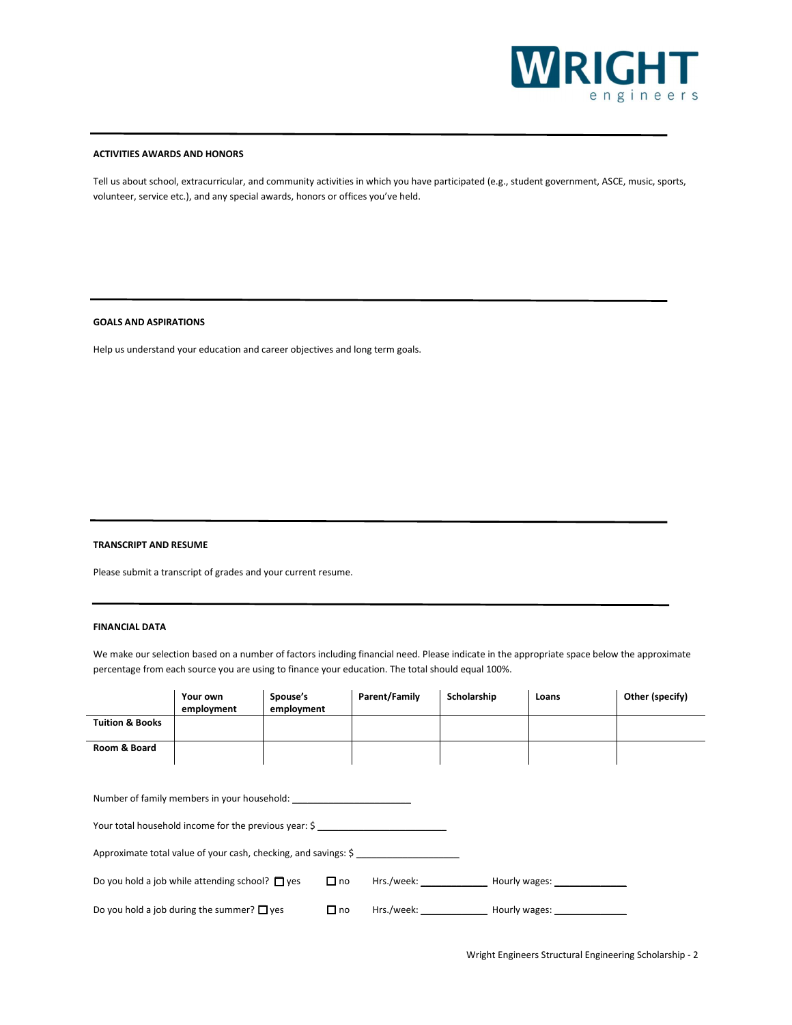

#### **ACTIVITIES AWARDS AND HONORS**

Tell us about school, extracurricular, and community activities in which you have participated (e.g., student government, ASCE, music, sports, volunteer, service etc.), and any special awards, honors or offices you've held.

## **GOALS AND ASPIRATIONS**

Help us understand your education and career objectives and long term goals.

## **TRANSCRIPT AND RESUME**

Please submit a transcript of grades and your current resume.

## **FINANCIAL DATA**

We make our selection based on a number of factors including financial need. Please indicate in the appropriate space below the approximate percentage from each source you are using to finance your education. The total should equal 100%.

|                                                                                                        | Your own<br>employment                               | Spouse's<br>employment | Parent/Family | Scholarship | Loans | Other (specify) |
|--------------------------------------------------------------------------------------------------------|------------------------------------------------------|------------------------|---------------|-------------|-------|-----------------|
| <b>Tuition &amp; Books</b>                                                                             |                                                      |                        |               |             |       |                 |
| Room & Board                                                                                           |                                                      |                        |               |             |       |                 |
|                                                                                                        |                                                      |                        |               |             |       |                 |
| Number of family members in your household:                                                            |                                                      |                        |               |             |       |                 |
| Your total household income for the previous year: \$                                                  |                                                      |                        |               |             |       |                 |
| Approximate total value of your cash, checking, and savings: \$                                        |                                                      |                        |               |             |       |                 |
|                                                                                                        | Do you hold a job while attending school? $\Box$ yes | $\Box$ no              |               |             |       |                 |
| Hrs./week: Hourly wages: Nourly wages:<br>Do you hold a job during the summer? $\Box$ yes<br>$\Box$ no |                                                      |                        |               |             |       |                 |